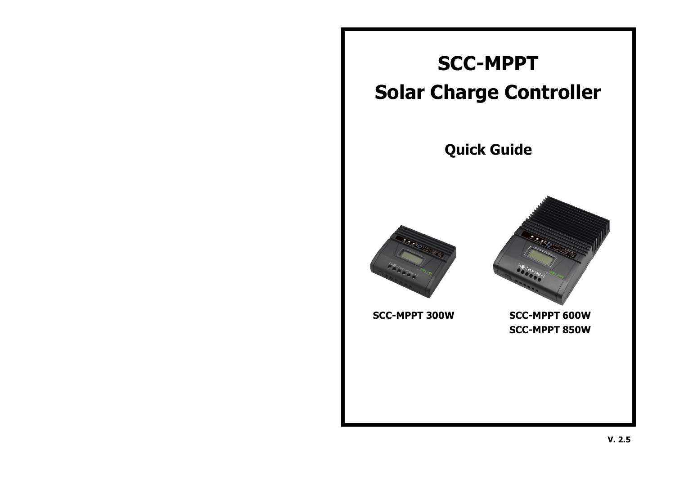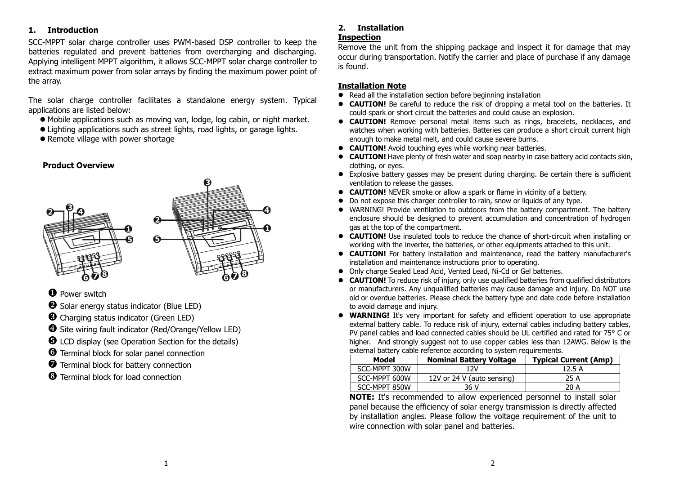## **1. Introduction**

SCC-MPPT solar charge controller uses PWM-based DSP controller to keep the batteries regulated and prevent batteries from overcharging and discharging. Applying intelligent MPPT algorithm, it allows SCC-MPPT solar charge controller to extract maximum power from solar arrays by finding the maximum power point of the array.

The solar charge controller facilitates a standalone energy system. Typical applications are listed below:

- ⚫ Mobile applications such as moving van, lodge, log cabin, or night market.
- ⚫ Lighting applications such as street lights, road lights, or garage lights.
- Remote village with power shortage

#### **Product Overview**



- **O** Power switch
- $\Theta$  Solar energy status indicator (Blue LED)
- **<sup>6</sup>** Charging status indicator (Green LED)
- Site wiring fault indicator (Red/Orange/Yellow LED)
- $\Theta$  LCD display (see Operation Section for the details)
- $\Theta$  Terminal block for solar panel connection
- $\bullet$  Terminal block for battery connection
- **3** Terminal block for load connection

# **2. Installation**

# **Inspection**

Remove the unit from the shipping package and inspect it for damage that may occur during transportation. Notify the carrier and place of purchase if any damage is found.

# **Installation Note**

- Read all the installation section before beginning installation
- **CAUTION!** Be careful to reduce the risk of dropping a metal tool on the batteries. It could spark or short circuit the batteries and could cause an explosion.
- ⚫ **CAUTION!** Remove personal metal items such as rings, bracelets, necklaces, and watches when working with batteries. Batteries can produce a short circuit current high enough to make metal melt, and could cause severe burns.
- ⚫ **CAUTION!** Avoid touching eyes while working near batteries.
- **CAUTION!** Have plenty of fresh water and soap nearby in case battery acid contacts skin, clothing, or eyes.
- ⚫ Explosive battery gasses may be present during charging. Be certain there is sufficient ventilation to release the gasses.
- **CAUTION!** NEVER smoke or allow a spark or flame in vicinity of a battery.
- Do not expose this charger controller to rain, snow or liquids of any type.
- ⚫ WARNING! Provide ventilation to outdoors from the battery compartment. The battery enclosure should be designed to prevent accumulation and concentration of hydrogen gas at the top of the compartment.
- ⚫ **CAUTION!** Use insulated tools to reduce the chance of short-circuit when installing or working with the inverter, the batteries, or other equipments attached to this unit.
- ⚫ **CAUTION!** For battery installation and maintenance, read the battery manufacturer's installation and maintenance instructions prior to operating.
- ⚫ Only charge Sealed Lead Acid, Vented Lead, Ni-Cd or Gel batteries.
- **CAUTION!** To reduce risk of injury, only use qualified batteries from qualified distributors or manufacturers. Any unqualified batteries may cause damage and injury. Do NOT use old or overdue batteries. Please check the battery type and date code before installation to avoid damage and injury.
- **WARNING!** It's very important for safety and efficient operation to use appropriate external battery cable. To reduce risk of injury, external cables including battery cables, PV panel cables and load connected cables should be UL certified and rated for 75° C or higher. And strongly suggest not to use copper cables less than 12AWG. Below is the external battery cable reference according to system requirements.

| Model         | <b>Nominal Battery Voltage</b> | <b>Typical Current (Amp)</b>       |
|---------------|--------------------------------|------------------------------------|
| SCC-MPPT 300W | 12V                            | 12.5 A                             |
| SCC-MPPT 600W | 12V or 24 V (auto sensing)     | 25 A                               |
| SCC-MPPT 850W | 36 V                           | 20 A                               |
|               | $\sim$<br>__                   | $\sim$ $\sim$ $\sim$ $\sim$ $\sim$ |

**NOTE:** It's recommended to allow experienced personnel to install solar panel because the efficiency of solar energy transmission is directly affected by installation angles. Please follow the voltage requirement of the unit to wire connection with solar panel and batteries.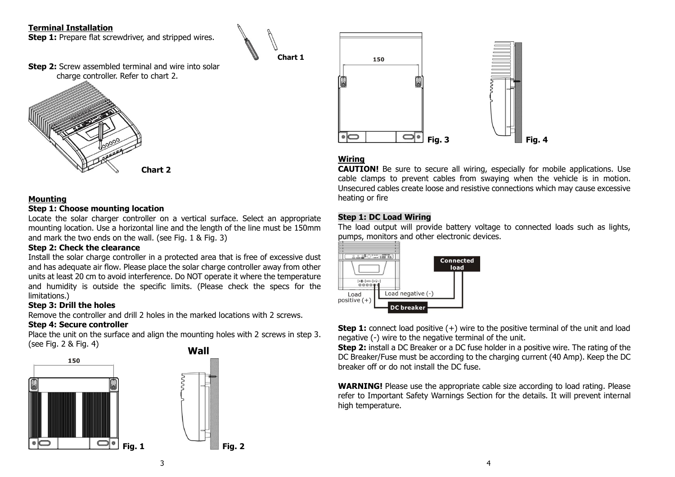# **Terminal Installation**

**Step 1:** Prepare flat screwdriver, and stripped wires.

**Step 2:** Screw assembled terminal and wire into solar charge controller. Refer to chart 2.



#### **Mounting**

#### **Step 1: Choose mounting location**

Locate the solar charger controller on a vertical surface. Select an appropriate mounting location. Use a horizontal line and the length of the line must be 150mm and mark the two ends on the wall. (see Fig. 1 & Fig. 3)

## **Step 2: Check the clearance**

Install the solar charge controller in a protected area that is free of excessive dust and has adequate air flow. Please place the solar charge controller away from other units at least 20 cm to avoid interference. Do NOT operate it where the temperature and humidity is outside the specific limits. (Please check the specs for the limitations.)

## **Step 3: Drill the holes**

Remove the controller and drill 2 holes in the marked locations with 2 screws.

## **Step 4: Secure controller**

Place the unit on the surface and align the mounting holes with 2 screws in step 3. (see Fig. 2 & Fig. 4)







# **Wiring**

**Chart 1**

**CAUTION!** Be sure to secure all wiring, especially for mobile applications. Use cable clamps to prevent cables from swaying when the vehicle is in motion. Unsecured cables create loose and resistive connections which may cause excessive heating or fire

## **Step 1: DC Load Wiring**

The load output will provide battery voltage to connected loads such as lights, pumps, monitors and other electronic devices.



**Step 1:** connect load positive (+) wire to the positive terminal of the unit and load negative (-) wire to the negative terminal of the unit.

**Step 2:** install a DC Breaker or a DC fuse holder in a positive wire. The rating of the DC Breaker/Fuse must be according to the charging current (40 Amp). Keep the DC breaker off or do not install the DC fuse.

**WARNING!** Please use the appropriate cable size according to load rating. Please refer to Important Safety Warnings Section for the details. It will prevent internal high temperature.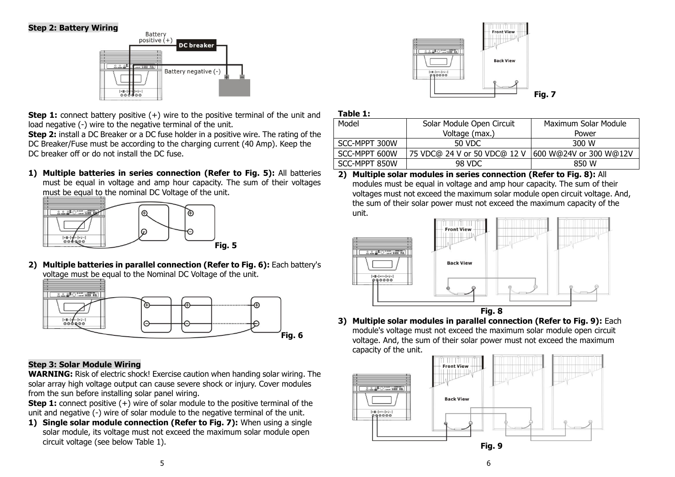## **Step 2: Battery Wiring**



**Step 1:** connect battery positive (+) wire to the positive terminal of the unit and load negative (-) wire to the negative terminal of the unit.

**Step 2:** install a DC Breaker or a DC fuse holder in a positive wire. The rating of the DC Breaker/Fuse must be according to the charging current (40 Amp). Keep the DC breaker off or do not install the DC fuse.

**1) Multiple batteries in series connection (Refer to Fig. 5):** All batteries must be equal in voltage and amp hour capacity. The sum of their voltages must be equal to the nominal DC Voltage of the unit.



**2) Multiple batteries in parallel connection (Refer to Fig. 6):** Each battery's voltage must be equal to the Nominal DC Voltage of the unit.



## **Step 3: Solar Module Wiring**

**WARNING:** Risk of electric shock! Exercise caution when handing solar wiring. The solar array high voltage output can cause severe shock or injury. Cover modules from the sun before installing solar panel wiring.

**Step 1:** connect positive  $(+)$  wire of solar module to the positive terminal of the unit and negative (-) wire of solar module to the negative terminal of the unit.

**1) Single solar module connection (Refer to Fig. 7):** When using a single solar module, its voltage must not exceed the maximum solar module open circuit voltage (see below Table 1).



| л<br>-<br>K<br>Ю<br>٠ |
|-----------------------|
|-----------------------|

| Model         | Solar Module Open Circuit    | Maximum Solar Module   |
|---------------|------------------------------|------------------------|
|               | Voltage (max.)               | Power                  |
| SCC-MPPT 300W | 50 VDC                       | 300 W                  |
| SCC-MPPT 600W | 75 VDC@ 24 V or 50 VDC@ 12 V | 600 W@24V or 300 W@12V |
| SCC-MPPT 850W | 98 VDC                       | 850 W                  |

**2) Multiple solar modules in series connection (Refer to Fig. 8):** All modules must be equal in voltage and amp hour capacity. The sum of their voltages must not exceed the maximum solar module open circuit voltage. And, the sum of their solar power must not exceed the maximum capacity of the unit.



**3) Multiple solar modules in parallel connection (Refer to Fig. 9):** Each module's voltage must not exceed the maximum solar module open circuit voltage. And, the sum of their solar power must not exceed the maximum capacity of the unit.

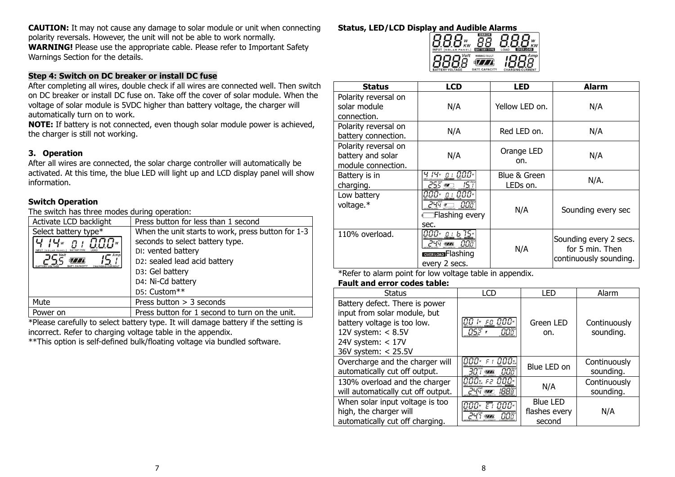**CAUTION:** It may not cause any damage to solar module or unit when connecting polarity reversals. However, the unit will not be able to work normally. **WARNING!** Please use the appropriate cable. Please refer to Important Safety Warnings Section for the details.

## **Step 4: Switch on DC breaker or install DC fuse**

After completing all wires, double check if all wires are connected well. Then switch on DC breaker or install DC fuse on. Take off the cover of solar module. When the voltage of solar module is 5VDC higher than battery voltage, the charger will automatically turn on to work.

**NOTE:** If battery is not connected, even though solar module power is achieved, the charger is still not working.

#### **3. Operation**

After all wires are connected, the solar charge controller will automatically be activated. At this time, the blue LED will light up and LCD display panel will show information.

#### **Switch Operation**

The switch has three modes during operation:

| Press button for less than 1 second                                                                                                                                                                 |  |
|-----------------------------------------------------------------------------------------------------------------------------------------------------------------------------------------------------|--|
| When the unit starts to work, press button for 1-3<br>seconds to select battery type.<br>DI: vented battery<br>D2: sealed lead acid battery<br>D3: Gel battery<br>D4: Ni-Cd battery<br>D5: Custom** |  |
| Press button $>$ 3 seconds                                                                                                                                                                          |  |
| Press button for 1 second to turn on the unit.                                                                                                                                                      |  |
|                                                                                                                                                                                                     |  |

\*Please carefully to select battery type. It will damage battery if the setting is incorrect. Refer to charging voltage table in the appendix.

\*\*This option is self-defined bulk/floating voltage via bundled software.

# **Status, LED/LCD Display and Audible Alarms**<br>**B.B.B.w.** 88



| <b>Status</b>        | <b>LCD</b>                 | <b>LED</b>     | <b>Alarm</b>           |
|----------------------|----------------------------|----------------|------------------------|
| Polarity reversal on |                            |                |                        |
| solar module         | N/A                        | Yellow LED on. | N/A                    |
| connection.          |                            |                |                        |
| Polarity reversal on | N/A                        | Red LED on.    | N/A                    |
| battery connection.  |                            |                |                        |
| Polarity reversal on |                            | Orange LED     |                        |
| battery and solar    | N/A                        | on.            | N/A                    |
| module connection.   |                            |                |                        |
| Battery is in        | א 14 <sub>"</sub> פו 10.0° | Blue & Green   | N/A.                   |
| charging.            | つらど あ<br>15 T              | LEDs on.       |                        |
| Low battery          | 000* <u>o i</u> 000*       |                |                        |
| voltage.*            | 244 <u>— 008</u>           | N/A            | Sounding every sec     |
|                      | Elashing every             |                |                        |
|                      | sec.                       |                |                        |
| 110% overload.       |                            |                | Sounding every 2 secs. |
|                      | $244$ $\frac{m}{2}$<br>00ő | N/A            | for 5 min. Then        |
|                      | OVER LOAD Flashing         |                | continuously sounding. |
|                      | every 2 secs.              |                |                        |

\*Refer to alarm point for low voltage table in appendix.

#### **Fault and error codes table:**

| <b>Status</b>                                                                                                                                                       | <b>LCD</b>                                      | LED                                        | Alarm                     |
|---------------------------------------------------------------------------------------------------------------------------------------------------------------------|-------------------------------------------------|--------------------------------------------|---------------------------|
| Battery defect. There is power<br>input from solar module, but<br>battery voltage is too low.<br>12V system: $< 8.5V$<br>24V system: $< 17V$<br>36V system: < 25.5V | 1- FO 000-<br>มระ<br>NNč                        | Green LED<br>on.                           | Continuously<br>sounding. |
| Overcharge and the charger will<br>automatically cut off output.                                                                                                    | $F$ i $000$ $\%$<br>1000×<br>00î<br>$\sqrt{II}$ | Blue LED on                                | Continuously<br>sounding. |
| 130% overload and the charger<br>will automatically cut off output.                                                                                                 | 000 <sub>*</sub><br>000×<br>52<br>744           | N/A                                        | Continuously<br>sounding. |
| When solar input voltage is too<br>high, the charger will<br>automatically cut off charging.                                                                        | 000*<br>ΕI<br>$747$ $77$<br>nnñ                 | <b>Blue LED</b><br>flashes every<br>second | N/A                       |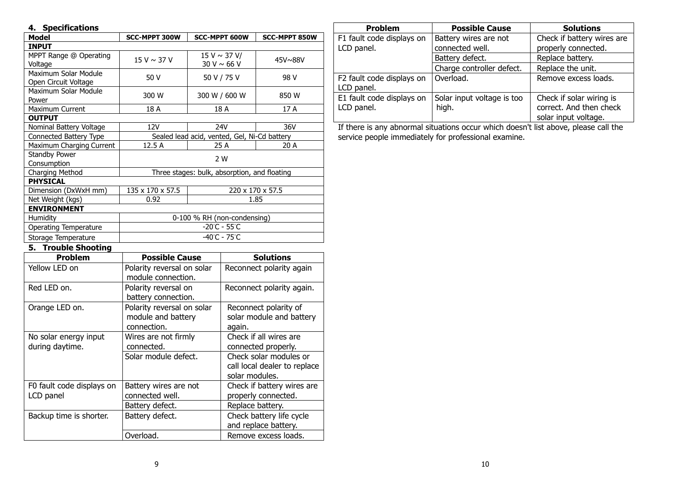# **4. Specifications**

| Model                    | <b>SCC-MPPT 300W</b>                         | <b>SCC-MPPT 600W</b> | <b>SCC-MPPT 850W</b> |
|--------------------------|----------------------------------------------|----------------------|----------------------|
| <b>INPUT</b>             |                                              |                      |                      |
| MPPT Range @ Operating   | $15 V \sim 37 V$                             | $15 V \sim 37 V/$    | $45V\sim88V$         |
| Voltage                  |                                              | 30 V $\sim$ 66 V     |                      |
| Maximum Solar Module     | 50 V                                         | 50 V / 75 V          | 98 V                 |
| Open Circuit Voltage     |                                              |                      |                      |
| Maximum Solar Module     | 300 W                                        | 300 W / 600 W        | 850 W                |
| Power                    |                                              |                      |                      |
| <b>Maximum Current</b>   | 18 A                                         | 18 A                 | 17 A                 |
| <b>OUTPUT</b>            |                                              |                      |                      |
| Nominal Battery Voltage  | 12V                                          | 24V                  | 36V                  |
| Connected Battery Type   | Sealed lead acid, vented, Gel, Ni-Cd battery |                      |                      |
| Maximum Charging Current | 12.5 A                                       | 25 A                 | 20 A                 |
| <b>Standby Power</b>     | 2 W                                          |                      |                      |
| Consumption              |                                              |                      |                      |
| Charging Method          | Three stages: bulk, absorption, and floating |                      |                      |
| <b>PHYSICAL</b>          |                                              |                      |                      |
| Dimension (DxWxH mm)     | 135 x 170 x 57.5<br>220 x 170 x 57.5         |                      |                      |
| Net Weight (kgs)         | 0.92<br>1.85                                 |                      |                      |
| <b>ENVIRONMENT</b>       |                                              |                      |                      |
| Humidity                 | 0-100 % RH (non-condensing)                  |                      |                      |
| Operating Temperature    | $-20^{\circ}$ C - 55 $^{\circ}$ C            |                      |                      |
| Storage Temperature      | $-40^{\circ}$ C - 75 $^{\circ}$ C            |                      |                      |

**5. Trouble Shooting**

| <b>Problem</b>                           | <b>Possible Cause</b>                                           | <b>Solutions</b>                                                         |
|------------------------------------------|-----------------------------------------------------------------|--------------------------------------------------------------------------|
| Yellow LED on                            | Polarity reversal on solar<br>module connection.                | Reconnect polarity again                                                 |
| Red LED on.                              | Polarity reversal on<br>battery connection.                     | Reconnect polarity again.                                                |
| Orange LED on.                           | Polarity reversal on solar<br>module and battery<br>connection. | Reconnect polarity of<br>solar module and battery<br>again.              |
| No solar energy input<br>during daytime. | Wires are not firmly<br>connected.                              | Check if all wires are<br>connected properly.                            |
|                                          | Solar module defect.                                            | Check solar modules or<br>call local dealer to replace<br>solar modules. |
| F0 fault code displays on<br>LCD panel   | Battery wires are not<br>connected well.                        | Check if battery wires are<br>properly connected.                        |
|                                          | Battery defect.                                                 | Replace battery.                                                         |
| Backup time is shorter.                  | Battery defect.                                                 | Check battery life cycle<br>and replace battery.                         |
|                                          | Overload.                                                       | Remove excess loads.                                                     |

| <b>Problem</b>                          | <b>Possible Cause</b>      | <b>Solutions</b>                                |
|-----------------------------------------|----------------------------|-------------------------------------------------|
| F1 fault code displays on               | Battery wires are not      | Check if battery wires are                      |
| LCD panel.                              | connected well.            | properly connected.                             |
|                                         | Battery defect.            | Replace battery.                                |
|                                         | Charge controller defect.  | Replace the unit.                               |
| F2 fault code displays on<br>LCD panel. | Overload.                  | Remove excess loads.                            |
| E1 fault code displays on               | Solar input voltage is too | Check if solar wiring is                        |
| LCD panel.                              | high.                      | correct. And then check<br>solar input voltage. |

If there is any abnormal situations occur which doesn't list above, please call the service people immediately for professional examine.